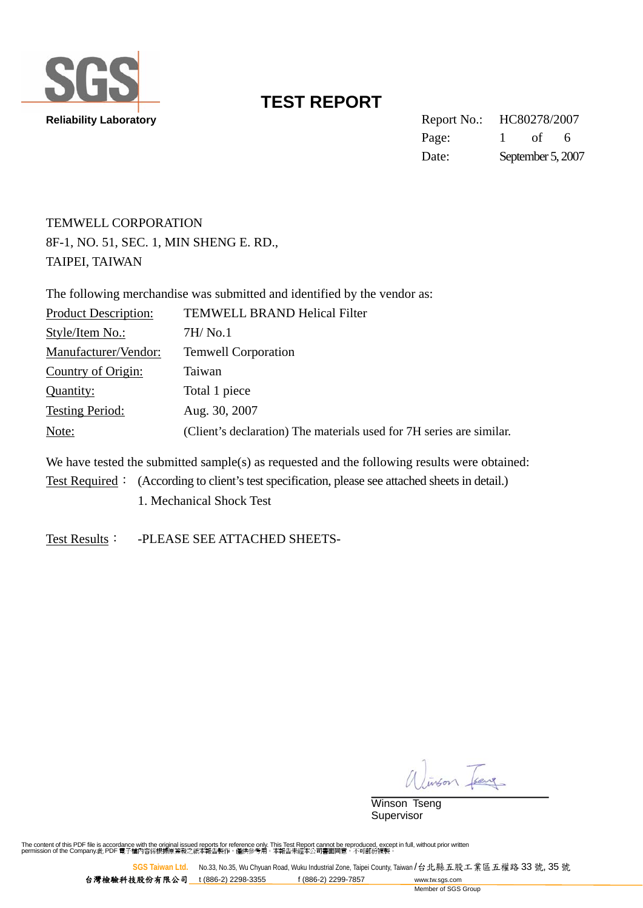

**Reliability Laboratory** Report No.: HC80278/2007 Page: 1 of 6 Date: September 5, 2007

### TEMWELL CORPORATION 8F-1, NO. 51, SEC. 1, MIN SHENG E. RD., TAIPEI, TAIWAN

|                             | The following merchandise was submitted and identified by the vendor as: |
|-----------------------------|--------------------------------------------------------------------------|
| <b>Product Description:</b> | <b>TEMWELL BRAND Helical Filter</b>                                      |
| Style/Item No.:             | 7H/Mo.1                                                                  |
| Manufacturer/Vendor:        | <b>Temwell Corporation</b>                                               |
| Country of Origin:          | Taiwan                                                                   |
| Quantity:                   | Total 1 piece                                                            |
| <b>Testing Period:</b>      | Aug. 30, 2007                                                            |
| Note:                       | (Client's declaration) The materials used for 7H series are similar.     |
|                             |                                                                          |

We have tested the submitted sample(s) as requested and the following results were obtained: Test Required: (According to client's test specification, please see attached sheets in detail.) 1. Mechanical Shock Test

Test Results: - PLEASE SEE ATTACHED SHEETS-

on Feng

Winson Tseng Supervisor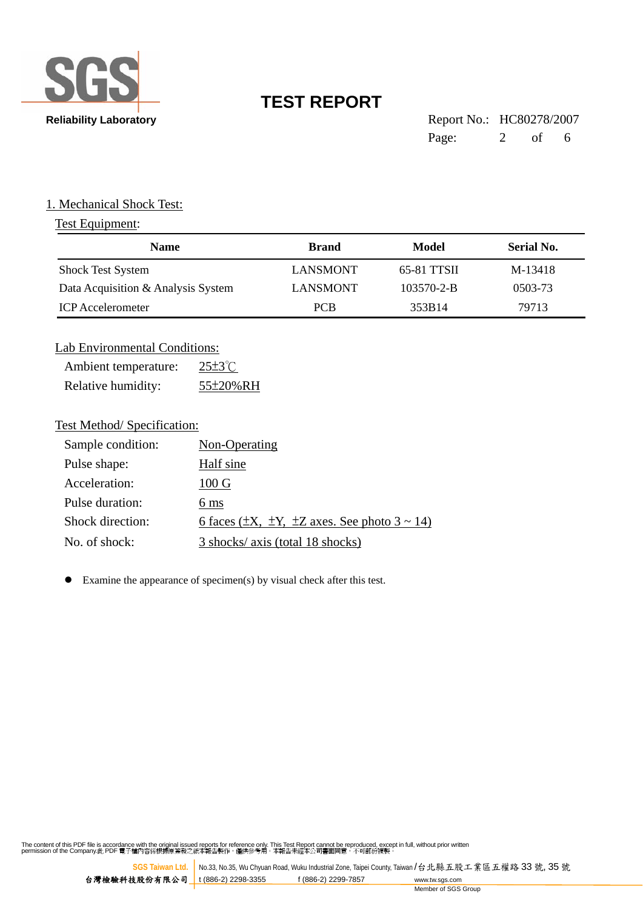

| <b>Reliability Laboratory</b> | Report No.: HC80278/2007 |  |  |
|-------------------------------|--------------------------|--|--|
|                               | Page: $2 \text{ of } 6$  |  |  |

#### 1. Mechanical Shock Test:

### Test Equipment:

| <b>Name</b>                        | <b>Brand</b>    | Model            | Serial No. |
|------------------------------------|-----------------|------------------|------------|
| <b>Shock Test System</b>           | LANSMONT        | 65-81 TTSII      | M-13418    |
| Data Acquisition & Analysis System | <b>LANSMONT</b> | $103570 - 2 - B$ | 0503-73    |
| <b>ICP</b> Accelerometer           | <b>PCB</b>      | 353B14           | 79713      |

#### Lab Environmental Conditions:

| Ambient temperature: | $25\pm3$ °C |
|----------------------|-------------|
| Relative humidity:   | 55±20%RH    |

#### Test Method/ Specification:

| Sample condition: | Non-Operating                                               |
|-------------------|-------------------------------------------------------------|
| Pulse shape:      | Half sine                                                   |
| Acceleration:     | $100 \text{ G}$                                             |
| Pulse duration:   | 6 ms                                                        |
| Shock direction:  | 6 faces ( $\pm$ X, $\pm$ Y, $\pm$ Z axes. See photo 3 ~ 14) |
| No. of shock:     | 3 shocks/ axis (total 18 shocks)                            |

 $\bullet$  Examine the appearance of specimen(s) by visual check after this test.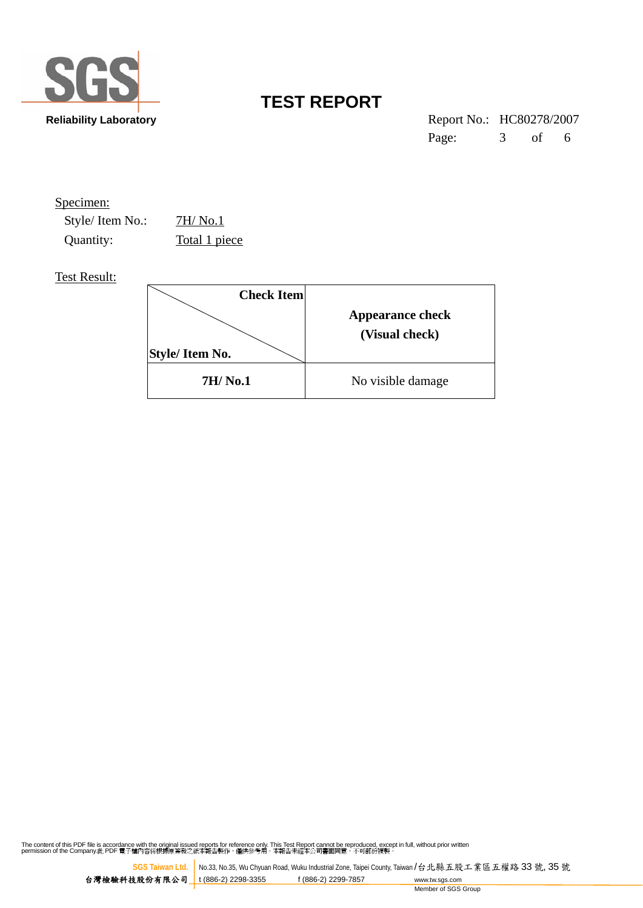

**Reliability Laboratory** Report No.: HC80278/2007 Page: 3 of 6

| Specimen:       |                   |                         |
|-----------------|-------------------|-------------------------|
| Style/Item No.: | 7H/No.1           |                         |
| Quantity:       | Total 1 piece     |                         |
| Test Result:    |                   |                         |
|                 | <b>Check Item</b> |                         |
|                 |                   | <b>Appearance check</b> |
|                 |                   |                         |

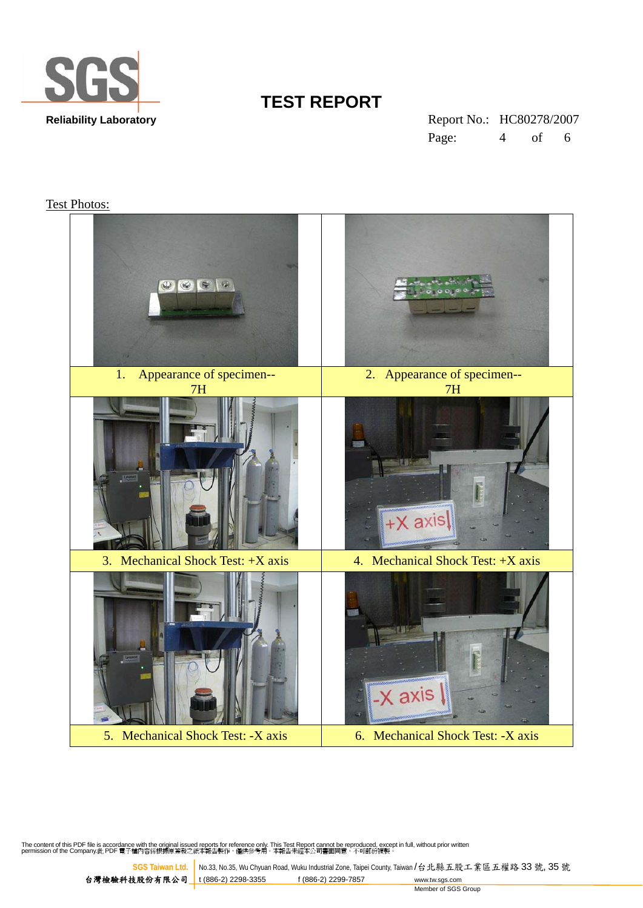

**Reliability Laboratory** Report No.: HC80278/2007 Page: 4 of 6

#### Test Photos:

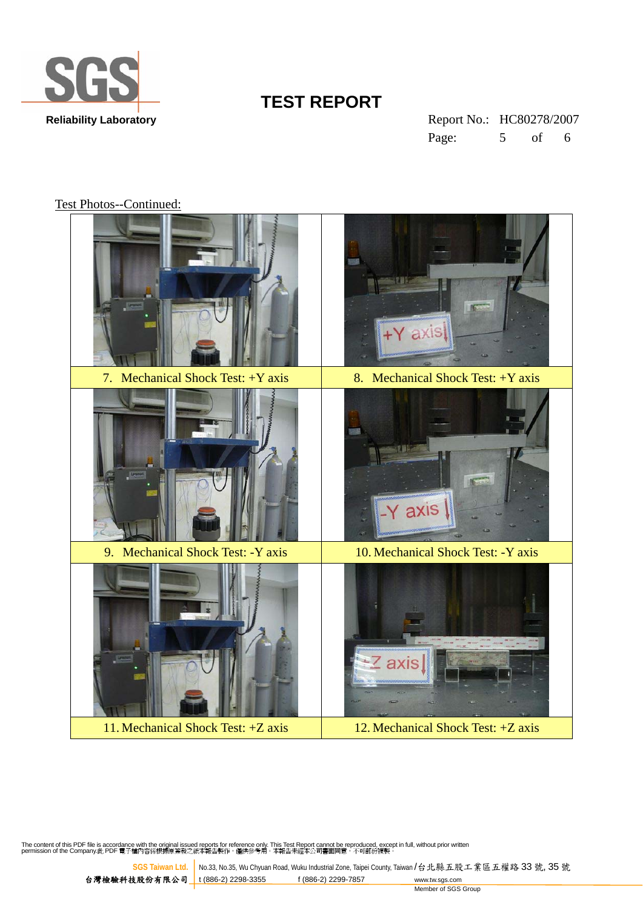

**Reliability Laboratory** Report No.: HC80278/2007 Page: 5 of 6

Test Photos--Continued: